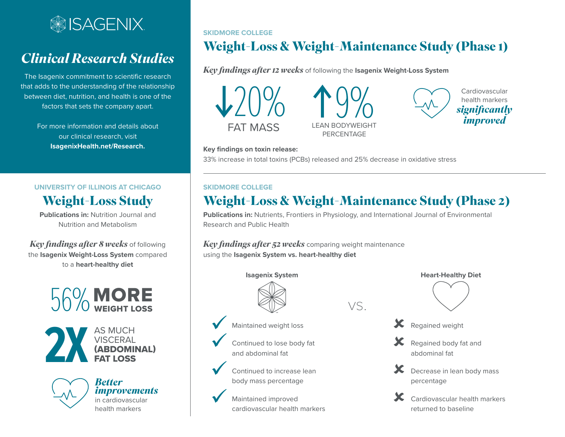

# *Clinical Research Studies*

The Isagenix commitment to scientific research that adds to the understanding of the relationship between diet, nutrition, and health is one of the factors that sets the company apart.

> For more information and details about our clinical research, visit **[IsagenixHealth.net/Research.](http://IsagenixHealth.net/Research)**

### **UNIVERSITY OF ILLINOIS AT CHICAGO Weight-Loss Study**

**Publications in:** Nutrition Journal and Nutrition and Metabolism

*Key findings after 8 weeks* of following the **Isagenix Weight-Loss System** compared to a **heart-healthy diet**







**SKIDMORE COLLEGE**

FAT MASS LEAN BODYWEIGHT PERCENTAGE

**Weight-Loss & Weight-Maintenance Study (Phase 1)**



**Key findings on toxin release:** 33% increase in total toxins (PCBs) released and 25% decrease in oxidative stress

*Key findings after 12 weeks* of following the **Isagenix Weight-Loss System**

#### **SKIDMORE COLLEGE**

## **Weight-Loss & Weight-Maintenance Study (Phase 2)**

**Publications in:** Nutrients, Frontiers in Physiology, and International Journal of Environmental Research and Public Health

*Key findings after 52 weeks* comparing weight maintenance using the **Isagenix System vs. heart-healthy diet**